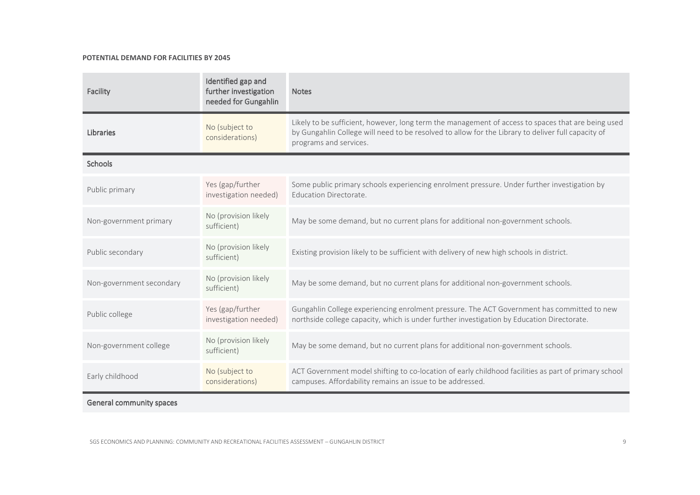## POTENTIAL DEMAND FOR FACILITIES BY 2045

| Facility                 | Identified gap and<br>further investigation<br>needed for Gungahlin | <b>Notes</b>                                                                                                                                                                                                                       |
|--------------------------|---------------------------------------------------------------------|------------------------------------------------------------------------------------------------------------------------------------------------------------------------------------------------------------------------------------|
| <b>Libraries</b>         | No (subject to<br>considerations)                                   | Likely to be sufficient, however, long term the management of access to spaces that are being used<br>by Gungahlin College will need to be resolved to allow for the Library to deliver full capacity of<br>programs and services. |
| Schools                  |                                                                     |                                                                                                                                                                                                                                    |
| Public primary           | Yes (gap/further<br>investigation needed)                           | Some public primary schools experiencing enrolment pressure. Under further investigation by<br><b>Education Directorate.</b>                                                                                                       |
| Non-government primary   | No (provision likely<br>sufficient)                                 | May be some demand, but no current plans for additional non-government schools.                                                                                                                                                    |
| Public secondary         | No (provision likely<br>sufficient)                                 | Existing provision likely to be sufficient with delivery of new high schools in district.                                                                                                                                          |
| Non-government secondary | No (provision likely<br>sufficient)                                 | May be some demand, but no current plans for additional non-government schools.                                                                                                                                                    |
| Public college           | Yes (gap/further<br>investigation needed)                           | Gungahlin College experiencing enrolment pressure. The ACT Government has committed to new<br>northside college capacity, which is under further investigation by Education Directorate.                                           |
| Non-government college   | No (provision likely<br>sufficient)                                 | May be some demand, but no current plans for additional non-government schools.                                                                                                                                                    |
| Early childhood          | No (subject to<br>considerations)                                   | ACT Government model shifting to co-location of early childhood facilities as part of primary school<br>campuses. Affordability remains an issue to be addressed.                                                                  |

General community spaces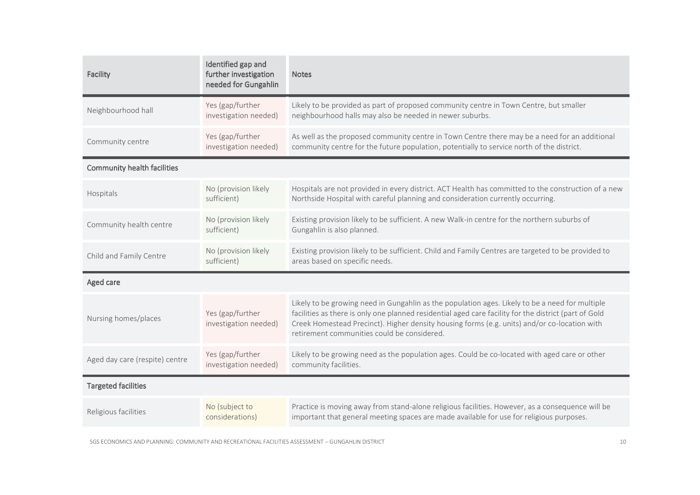| Facility                           | Identified gap and<br>further investigation<br>needed for Gungahlin | <b>Notes</b>                                                                                                                                                                                                                                                                                                                                            |  |  |
|------------------------------------|---------------------------------------------------------------------|---------------------------------------------------------------------------------------------------------------------------------------------------------------------------------------------------------------------------------------------------------------------------------------------------------------------------------------------------------|--|--|
| Neighbourhood hall                 | Yes (gap/further<br>investigation needed)                           | Likely to be provided as part of proposed community centre in Town Centre, but smaller<br>neighbourhood halls may also be needed in newer suburbs.                                                                                                                                                                                                      |  |  |
| Community centre                   | Yes (gap/further<br>investigation needed)                           | As well as the proposed community centre in Town Centre there may be a need for an additional<br>community centre for the future population, potentially to service north of the district.                                                                                                                                                              |  |  |
| <b>Community health facilities</b> |                                                                     |                                                                                                                                                                                                                                                                                                                                                         |  |  |
| Hospitals                          | No (provision likely<br>sufficient)                                 | Hospitals are not provided in every district. ACT Health has committed to the construction of a new<br>Northside Hospital with careful planning and consideration currently occurring.                                                                                                                                                                  |  |  |
| Community health centre            | No (provision likely<br>sufficient)                                 | Existing provision likely to be sufficient. A new Walk-in centre for the northern suburbs of<br>Gungahlin is also planned.                                                                                                                                                                                                                              |  |  |
| Child and Family Centre            | No (provision likely<br>sufficient)                                 | Existing provision likely to be sufficient. Child and Family Centres are targeted to be provided to<br>areas based on specific needs.                                                                                                                                                                                                                   |  |  |
| Aged care                          |                                                                     |                                                                                                                                                                                                                                                                                                                                                         |  |  |
| Nursing homes/places               | Yes (gap/further<br>investigation needed)                           | Likely to be growing need in Gungahlin as the population ages. Likely to be a need for multiple<br>facilities as there is only one planned residential aged care facility for the district (part of Gold<br>Creek Homestead Precinct). Higher density housing forms (e.g. units) and/or co-location with<br>retirement communities could be considered. |  |  |
| Aged day care (respite) centre     | Yes (gap/further<br>investigation needed)                           | Likely to be growing need as the population ages. Could be co-located with aged care or other<br>community facilities.                                                                                                                                                                                                                                  |  |  |
| <b>Targeted facilities</b>         |                                                                     |                                                                                                                                                                                                                                                                                                                                                         |  |  |
| Religious facilities               | No (subject to<br>considerations)                                   | Practice is moving away from stand-alone religious facilities. However, as a consequence will be<br>important that general meeting spaces are made available for use for religious purposes.                                                                                                                                                            |  |  |

SGS ECONOMICS AND PLANNING: COMMUNITY AND RECREATIONAL FACILITIES ASSESSMENT - GUNGAHLIN DISTRICT 10 10 10 10 10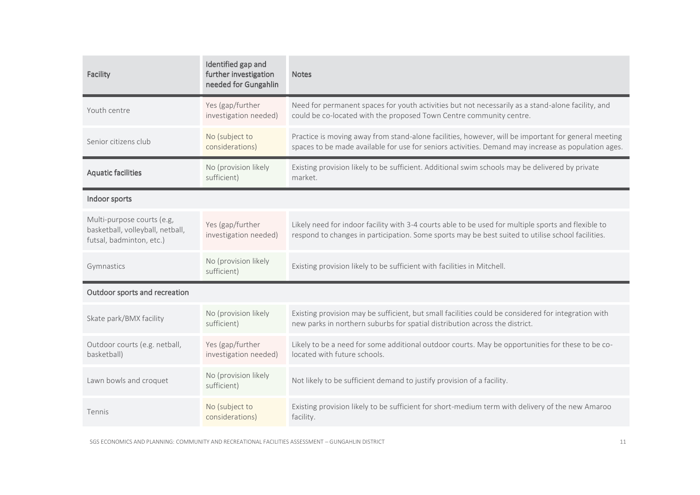| Facility                                                                                   | Identified gap and<br>further investigation<br>needed for Gungahlin | <b>Notes</b>                                                                                                                                                                                               |  |
|--------------------------------------------------------------------------------------------|---------------------------------------------------------------------|------------------------------------------------------------------------------------------------------------------------------------------------------------------------------------------------------------|--|
| Youth centre                                                                               | Yes (gap/further<br>investigation needed)                           | Need for permanent spaces for youth activities but not necessarily as a stand-alone facility, and<br>could be co-located with the proposed Town Centre community centre.                                   |  |
| Senior citizens club                                                                       | No (subject to<br>considerations)                                   | Practice is moving away from stand-alone facilities, however, will be important for general meeting<br>spaces to be made available for use for seniors activities. Demand may increase as population ages. |  |
| <b>Aquatic facilities</b>                                                                  | No (provision likely<br>sufficient)                                 | Existing provision likely to be sufficient. Additional swim schools may be delivered by private<br>market.                                                                                                 |  |
| Indoor sports                                                                              |                                                                     |                                                                                                                                                                                                            |  |
| Multi-purpose courts (e.g,<br>basketball, volleyball, netball,<br>futsal, badminton, etc.) | Yes (gap/further<br>investigation needed)                           | Likely need for indoor facility with 3-4 courts able to be used for multiple sports and flexible to<br>respond to changes in participation. Some sports may be best suited to utilise school facilities.   |  |
| Gymnastics                                                                                 | No (provision likely<br>sufficient)                                 | Existing provision likely to be sufficient with facilities in Mitchell.                                                                                                                                    |  |
| Outdoor sports and recreation                                                              |                                                                     |                                                                                                                                                                                                            |  |
| Skate park/BMX facility                                                                    | No (provision likely<br>sufficient)                                 | Existing provision may be sufficient, but small facilities could be considered for integration with<br>new parks in northern suburbs for spatial distribution across the district.                         |  |
| Outdoor courts (e.g. netball,<br>basketball)                                               | Yes (gap/further<br>investigation needed)                           | Likely to be a need for some additional outdoor courts. May be opportunities for these to be co-<br>located with future schools.                                                                           |  |
| Lawn bowls and croquet                                                                     | No (provision likely<br>sufficient)                                 | Not likely to be sufficient demand to justify provision of a facility.                                                                                                                                     |  |
| <b>Tennis</b>                                                                              | No (subject to<br>considerations)                                   | Existing provision likely to be sufficient for short-medium term with delivery of the new Amaroo<br>facility.                                                                                              |  |

SGS ECONOMICS AND PLANNING: COMMUNITY AND RECREATIONAL FACILITIES ASSESSMENT - GUNGAHLIN DISTRICT 11 AND RECREATIONAL FACILITIES ASSESSMENT - GUNGAHLIN DISTRICT